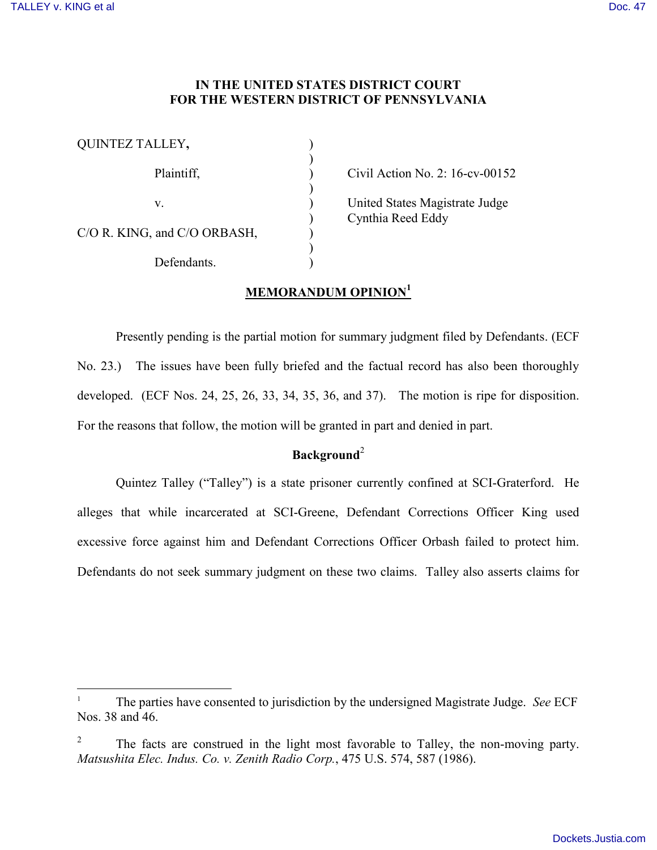$\overline{a}$ 

### **IN THE UNITED STATES DISTRICT COURT FOR THE WESTERN DISTRICT OF PENNSYLVANIA**

| QUINTEZ TALLEY,              |  |
|------------------------------|--|
| Plaintiff,                   |  |
| V.                           |  |
| C/O R. KING, and C/O ORBASH, |  |
| Defendants.                  |  |

Civil Action No. 2:  $16$ -cv-00152

United States Magistrate Judge ) Cynthia Reed Eddy

# **MEMORANDUM OPINION<sup>1</sup>**

Presently pending is the partial motion for summary judgment filed by Defendants. (ECF No. 23.) The issues have been fully briefed and the factual record has also been thoroughly developed. (ECF Nos. 24, 25, 26, 33, 34, 35, 36, and 37). The motion is ripe for disposition. For the reasons that follow, the motion will be granted in part and denied in part.

#### **Background**<sup>2</sup>

Quintez Talley ("Talley") is a state prisoner currently confined at SCI-Graterford. He alleges that while incarcerated at SCI-Greene, Defendant Corrections Officer King used excessive force against him and Defendant Corrections Officer Orbash failed to protect him. Defendants do not seek summary judgment on these two claims. Talley also asserts claims for

<sup>1</sup> The parties have consented to jurisdiction by the undersigned Magistrate Judge. *See* ECF Nos. 38 and 46.

<sup>2</sup> The facts are construed in the light most favorable to Talley, the non-moving party. *Matsushita Elec. Indus. Co. v. Zenith Radio Corp.*, 475 U.S. 574, 587 (1986).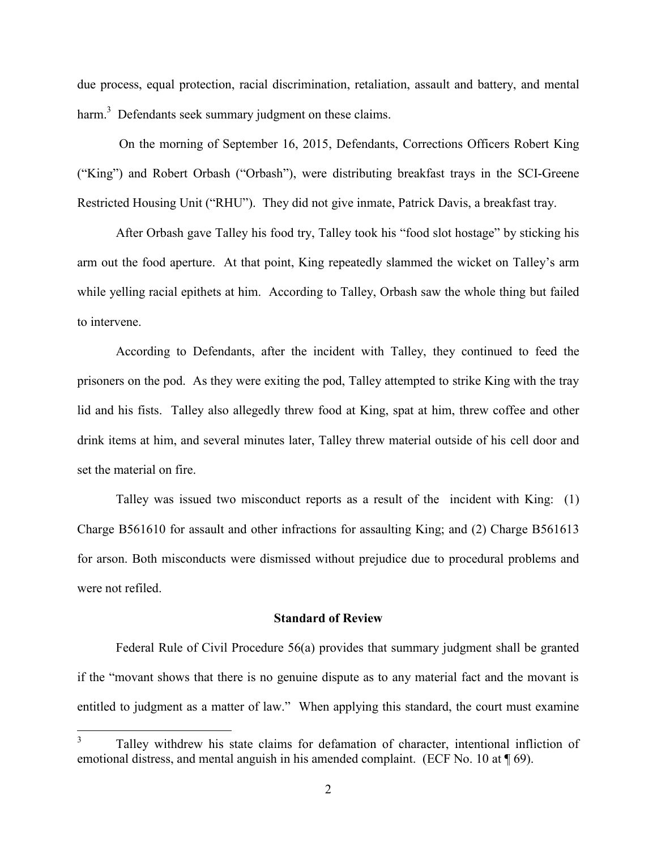due process, equal protection, racial discrimination, retaliation, assault and battery, and mental harm.<sup>3</sup> Defendants seek summary judgment on these claims.

On the morning of September 16, 2015, Defendants, Corrections Officers Robert King ("King") and Robert Orbash ("Orbash"), were distributing breakfast trays in the SCI-Greene Restricted Housing Unit ("RHU"). They did not give inmate, Patrick Davis, a breakfast tray.

After Orbash gave Talley his food try, Talley took his "food slot hostage" by sticking his arm out the food aperture. At that point, King repeatedly slammed the wicket on Talley's arm while yelling racial epithets at him. According to Talley, Orbash saw the whole thing but failed to intervene.

According to Defendants, after the incident with Talley, they continued to feed the prisoners on the pod. As they were exiting the pod, Talley attempted to strike King with the tray lid and his fists. Talley also allegedly threw food at King, spat at him, threw coffee and other drink items at him, and several minutes later, Talley threw material outside of his cell door and set the material on fire.

Talley was issued two misconduct reports as a result of the incident with King: (1) Charge B561610 for assault and other infractions for assaulting King; and (2) Charge B561613 for arson. Both misconducts were dismissed without prejudice due to procedural problems and were not refiled.

#### **Standard of Review**

Federal Rule of Civil Procedure 56(a) provides that summary judgment shall be granted if the "movant shows that there is no genuine dispute as to any material fact and the movant is entitled to judgment as a matter of law." When applying this standard, the court must examine

 $\frac{1}{3}$ Talley withdrew his state claims for defamation of character, intentional infliction of emotional distress, and mental anguish in his amended complaint. (ECF No. 10 at  $\P$  69).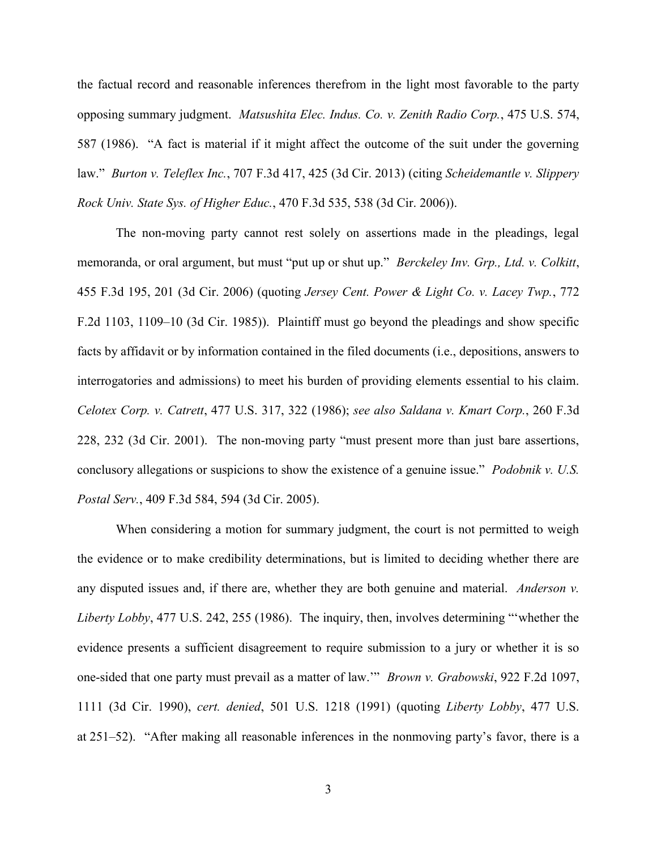the factual record and reasonable inferences therefrom in the light most favorable to the party opposing summary judgment. *Matsushita Elec. Indus. Co. v. Zenith Radio Corp.*, 475 U.S. 574, 587 (1986). "A fact is material if it might affect the outcome of the suit under the governing law." *Burton v. Teleflex Inc.*, 707 F.3d 417, 425 (3d Cir. 2013) (citing *Scheidemantle v. Slippery Rock Univ. State Sys. of Higher Educ.*, 470 F.3d 535, 538 (3d Cir. 2006)).

The non-moving party cannot rest solely on assertions made in the pleadings, legal memoranda, or oral argument, but must "put up or shut up." *Berckeley Inv. Grp., Ltd. v. Colkitt*, 455 F.3d 195, 201 (3d Cir. 2006) (quoting *Jersey Cent. Power & Light Co. v. Lacey Twp.*, 772 F.2d 1103, 1109–10 (3d Cir. 1985)). Plaintiff must go beyond the pleadings and show specific facts by affidavit or by information contained in the filed documents (i.e., depositions, answers to interrogatories and admissions) to meet his burden of providing elements essential to his claim. *Celotex Corp. v. Catrett*, 477 U.S. 317, 322 (1986); *see also Saldana v. Kmart Corp.*, 260 F.3d 228, 232 (3d Cir. 2001). The non-moving party "must present more than just bare assertions, conclusory allegations or suspicions to show the existence of a genuine issue." *Podobnik v. U.S. Postal Serv.*, 409 F.3d 584, 594 (3d Cir. 2005).

When considering a motion for summary judgment, the court is not permitted to weigh the evidence or to make credibility determinations, but is limited to deciding whether there are any disputed issues and, if there are, whether they are both genuine and material. *Anderson v. Liberty Lobby*, 477 U.S. 242, 255 (1986). The inquiry, then, involves determining "'whether the evidence presents a sufficient disagreement to require submission to a jury or whether it is so one-sided that one party must prevail as a matter of law.'" *Brown v. Grabowski*, 922 F.2d 1097, 1111 (3d Cir. 1990), *cert. denied*, 501 U.S. 1218 (1991) (quoting *Liberty Lobby*, 477 U.S. at 251–52). "After making all reasonable inferences in the nonmoving party's favor, there is a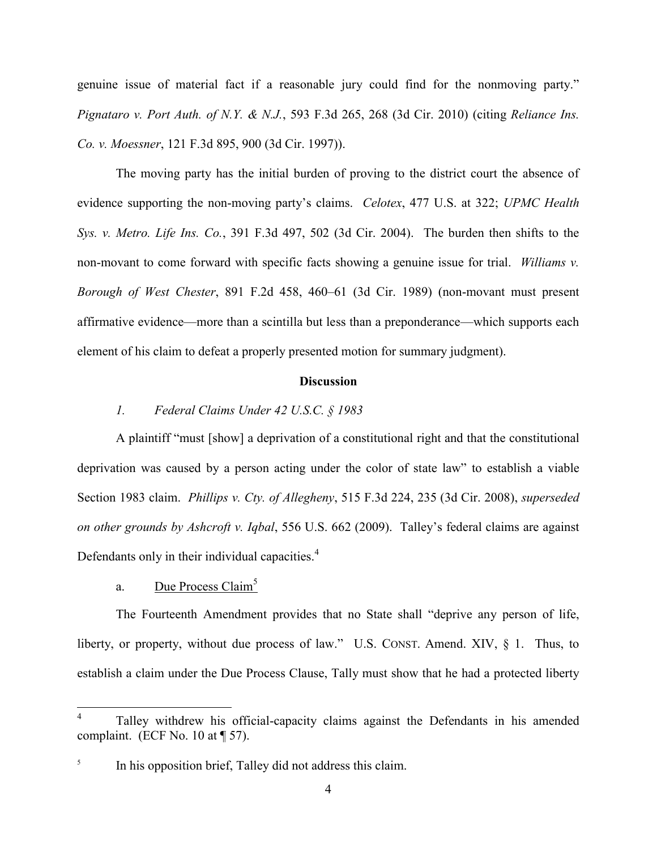genuine issue of material fact if a reasonable jury could find for the nonmoving party." *Pignataro v. Port Auth. of N.Y. & N.J.*, 593 F.3d 265, 268 (3d Cir. 2010) (citing *Reliance Ins. Co. v. Moessner*, 121 F.3d 895, 900 (3d Cir. 1997)).

The moving party has the initial burden of proving to the district court the absence of evidence supporting the non-moving party's claims. *Celotex*, 477 U.S. at 322; *UPMC Health Sys. v. Metro. Life Ins. Co.*, 391 F.3d 497, 502 (3d Cir. 2004). The burden then shifts to the non-movant to come forward with specific facts showing a genuine issue for trial. *Williams v. Borough of West Chester*, 891 F.2d 458, 460–61 (3d Cir. 1989) (non-movant must present affirmative evidence—more than a scintilla but less than a preponderance—which supports each element of his claim to defeat a properly presented motion for summary judgment).

#### **Discussion**

## *1. Federal Claims Under 42 U.S.C. § 1983*

A plaintiff "must [show] a deprivation of a constitutional right and that the constitutional deprivation was caused by a person acting under the color of state law" to establish a viable Section 1983 claim. *Phillips v. Cty. of Allegheny*, 515 F.3d 224, 235 (3d Cir. 2008), *superseded on other grounds by Ashcroft v. Iqbal*, 556 U.S. 662 (2009). Talley's federal claims are against Defendants only in their individual capacities. $4$ 

## a. Due Process Claim<sup>5</sup>

 $\overline{a}$ 

The Fourteenth Amendment provides that no State shall "deprive any person of life, liberty, or property, without due process of law." U.S. CONST. Amend. XIV, § 1. Thus, to establish a claim under the Due Process Clause, Tally must show that he had a protected liberty

<sup>4</sup> Talley withdrew his official-capacity claims against the Defendants in his amended complaint. (ECF No. 10 at ¶ 57).

<sup>5</sup> In his opposition brief, Talley did not address this claim.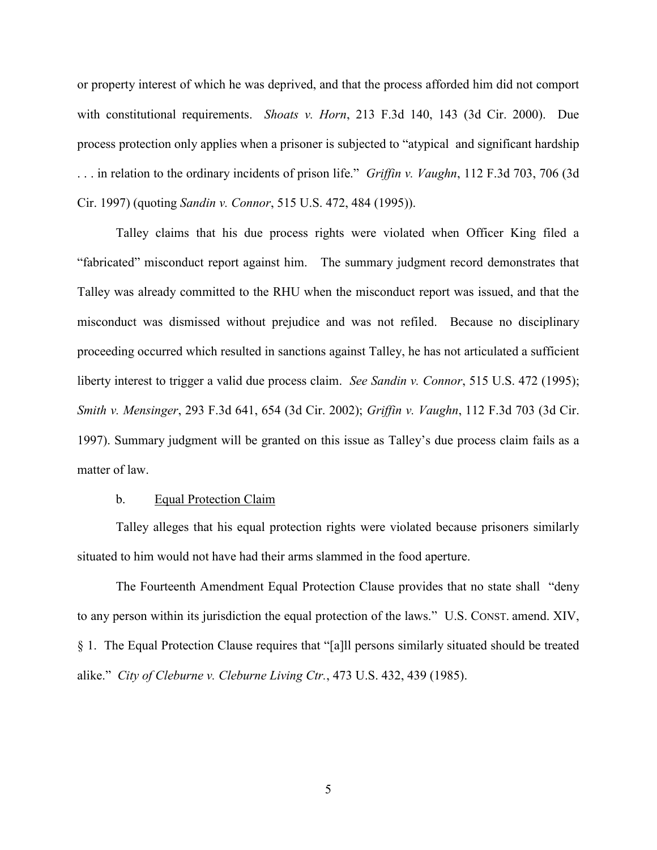or property interest of which he was deprived, and that the process afforded him did not comport with constitutional requirements. *Shoats v. Horn*, 213 F.3d 140, 143 (3d Cir. 2000). Due process protection only applies when a prisoner is subjected to "atypical and significant hardship . . . in relation to the ordinary incidents of prison life." *Griffin v. Vaughn*, 112 F.3d 703, 706 (3d Cir. 1997) (quoting *Sandin v. Connor*, 515 U.S. 472, 484 (1995)).

Talley claims that his due process rights were violated when Officer King filed a "fabricated" misconduct report against him. The summary judgment record demonstrates that Talley was already committed to the RHU when the misconduct report was issued, and that the misconduct was dismissed without prejudice and was not refiled. Because no disciplinary proceeding occurred which resulted in sanctions against Talley, he has not articulated a sufficient liberty interest to trigger a valid due process claim. *See Sandin v. Connor*, 515 U.S. 472 (1995); *Smith v. Mensinger*, 293 F.3d 641, 654 (3d Cir. 2002); *Griffin v. Vaughn*, 112 F.3d 703 (3d Cir. 1997). Summary judgment will be granted on this issue as Talley's due process claim fails as a matter of law.

#### b. Equal Protection Claim

Talley alleges that his equal protection rights were violated because prisoners similarly situated to him would not have had their arms slammed in the food aperture.

The Fourteenth Amendment Equal Protection Clause provides that no state shall "deny to any person within its jurisdiction the equal protection of the laws." U.S. CONST. amend. XIV, § 1. The Equal Protection Clause requires that "[a]ll persons similarly situated should be treated alike." *City of Cleburne v. Cleburne Living Ctr.*, 473 U.S. 432, 439 (1985).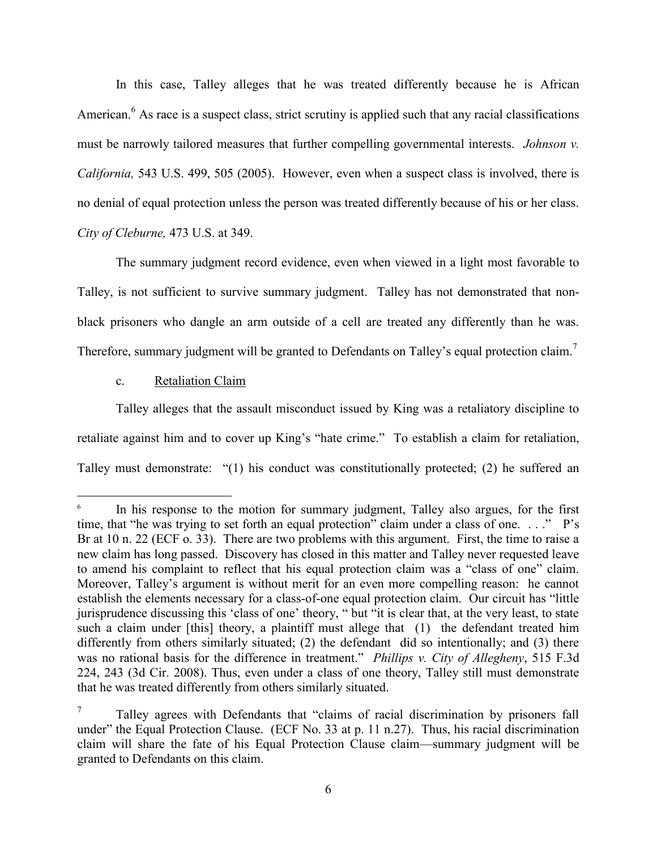In this case, Talley alleges that he was treated differently because he is African American.<sup>6</sup> As race is a suspect class, strict scrutiny is applied such that any racial classifications must be narrowly tailored measures that further compelling governmental interests. *Johnson v. California,* 543 U.S. 499, 505 (2005). However, even when a suspect class is involved, there is no denial of equal protection unless the person was treated differently because of his or her class. *City of Cleburne,* 473 U.S. at 349.

The summary judgment record evidence, even when viewed in a light most favorable to Talley, is not sufficient to survive summary judgment. Talley has not demonstrated that nonblack prisoners who dangle an arm outside of a cell are treated any differently than he was. Therefore, summary judgment will be granted to Defendants on Talley's equal protection claim.<sup>7</sup>

#### c. Retaliation Claim

 $\overline{a}$ 

Talley alleges that the assault misconduct issued by King was a retaliatory discipline to retaliate against him and to cover up King's "hate crime." To establish a claim for retaliation, Talley must demonstrate: "(1) his conduct was constitutionally protected; (2) he suffered an

<sup>6</sup> In his response to the motion for summary judgment, Talley also argues, for the first time, that "he was trying to set forth an equal protection" claim under a class of one. . . ." P's Br at 10 n. 22 (ECF o. 33). There are two problems with this argument. First, the time to raise a new claim has long passed. Discovery has closed in this matter and Talley never requested leave to amend his complaint to reflect that his equal protection claim was a "class of one" claim. Moreover, Talley's argument is without merit for an even more compelling reason: he cannot establish the elements necessary for a class-of-one equal protection claim. Our circuit has "little jurisprudence discussing this 'class of one' theory, " but "it is clear that, at the very least, to state such a claim under [this] theory, a plaintiff must allege that (1) the defendant treated him differently from others similarly situated; (2) the defendant did so intentionally; and (3) there was no rational basis for the difference in treatment." *Phillips v. City of Allegheny*, 515 F.3d 224, 243 (3d Cir. 2008). Thus, even under a class of one theory, Talley still must demonstrate that he was treated differently from others similarly situated.

<sup>7</sup> Talley agrees with Defendants that "claims of racial discrimination by prisoners fall under" the Equal Protection Clause. (ECF No. 33 at p. 11 n.27). Thus, his racial discrimination claim will share the fate of his Equal Protection Clause claim—summary judgment will be granted to Defendants on this claim.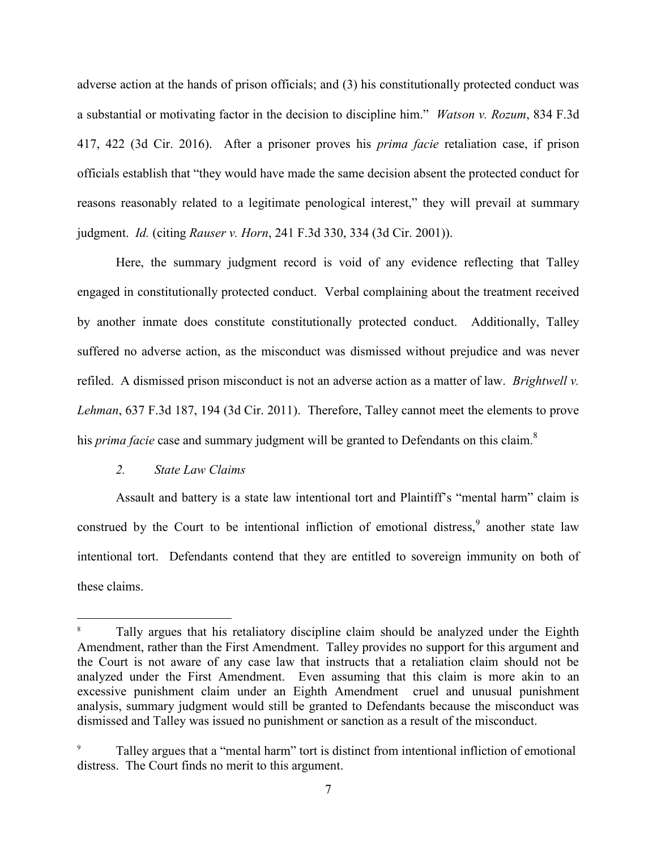adverse action at the hands of prison officials; and (3) his constitutionally protected conduct was a substantial or motivating factor in the decision to discipline him." *Watson v. Rozum*, 834 F.3d 417, 422 (3d Cir. 2016). After a prisoner proves his *prima facie* retaliation case, if prison officials establish that "they would have made the same decision absent the protected conduct for reasons reasonably related to a legitimate penological interest," they will prevail at summary judgment. *Id.* (citing *Rauser v. Horn*, 241 F.3d 330, 334 (3d Cir. 2001)).

Here, the summary judgment record is void of any evidence reflecting that Talley engaged in constitutionally protected conduct. Verbal complaining about the treatment received by another inmate does constitute constitutionally protected conduct. Additionally, Talley suffered no adverse action, as the misconduct was dismissed without prejudice and was never refiled. A dismissed prison misconduct is not an adverse action as a matter of law. *Brightwell v. Lehman*, 637 F.3d 187, 194 (3d Cir. 2011). Therefore, Talley cannot meet the elements to prove his *prima facie* case and summary judgment will be granted to Defendants on this claim. 8

#### *2. State Law Claims*

 $\overline{a}$ 

Assault and battery is a state law intentional tort and Plaintiff's "mental harm" claim is construed by the Court to be intentional infliction of emotional distress,  $9$  another state law intentional tort. Defendants contend that they are entitled to sovereign immunity on both of these claims.

Tally argues that his retaliatory discipline claim should be analyzed under the Eighth Amendment, rather than the First Amendment. Talley provides no support for this argument and the Court is not aware of any case law that instructs that a retaliation claim should not be analyzed under the First Amendment. Even assuming that this claim is more akin to an excessive punishment claim under an Eighth Amendment cruel and unusual punishment analysis, summary judgment would still be granted to Defendants because the misconduct was dismissed and Talley was issued no punishment or sanction as a result of the misconduct.

Talley argues that a "mental harm" tort is distinct from intentional infliction of emotional distress. The Court finds no merit to this argument.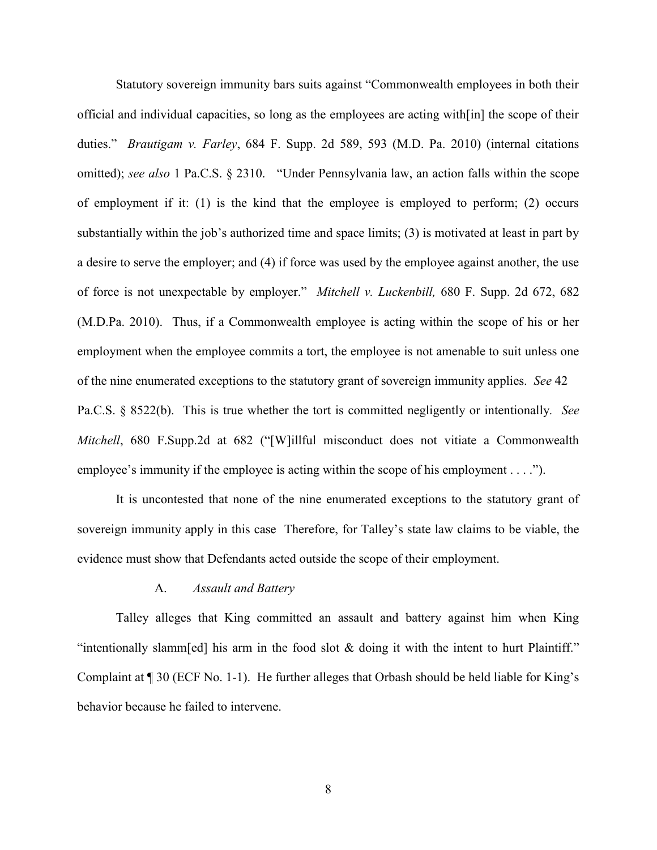Statutory sovereign immunity bars suits against "Commonwealth employees in both their official and individual capacities, so long as the employees are acting with[in] the scope of their duties." *Brautigam v. Farley*, 684 F. Supp. 2d 589, 593 (M.D. Pa. 2010) (internal citations omitted); *see also* 1 Pa.C.S. § 2310. "Under Pennsylvania law, an action falls within the scope of employment if it: (1) is the kind that the employee is employed to perform; (2) occurs substantially within the job's authorized time and space limits; (3) is motivated at least in part by a desire to serve the employer; and (4) if force was used by the employee against another, the use of force is not unexpectable by employer." *Mitchell v. Luckenbill,* 680 F. Supp. 2d 672, 682 (M.D.Pa. 2010). Thus, if a Commonwealth employee is acting within the scope of his or her employment when the employee commits a tort, the employee is not amenable to suit unless one of the nine enumerated exceptions to the statutory grant of sovereign immunity applies. *See* 42 Pa.C.S. § 8522(b). This is true whether the tort is committed negligently or intentionally*. See Mitchell*, 680 F.Supp.2d at 682 ("[W]illful misconduct does not vitiate a Commonwealth employee's immunity if the employee is acting within the scope of his employment . . . .").

It is uncontested that none of the nine enumerated exceptions to the statutory grant of sovereign immunity apply in this case Therefore, for Talley's state law claims to be viable, the evidence must show that Defendants acted outside the scope of their employment.

#### A. *Assault and Battery*

Talley alleges that King committed an assault and battery against him when King "intentionally slamm[ed] his arm in the food slot & doing it with the intent to hurt Plaintiff." Complaint at ¶ 30 (ECF No. 1-1). He further alleges that Orbash should be held liable for King's behavior because he failed to intervene.

8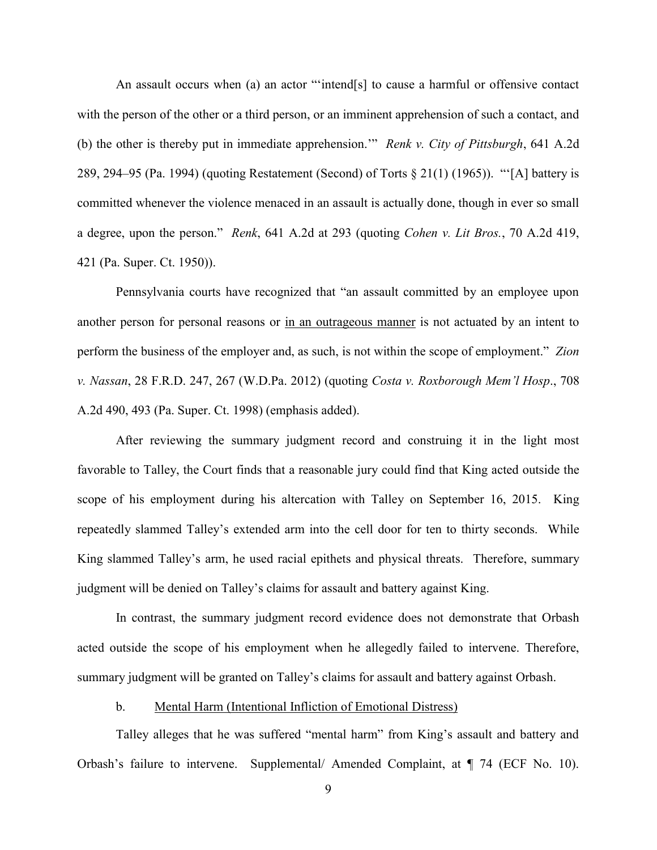An assault occurs when (a) an actor "'intend[s] to cause a harmful or offensive contact with the person of the other or a third person, or an imminent apprehension of such a contact, and (b) the other is thereby put in immediate apprehension.'" *Renk v. City of Pittsburgh*, 641 A.2d 289, 294–95 (Pa. 1994) (quoting Restatement (Second) of Torts § 21(1) (1965)). "'[A] battery is committed whenever the violence menaced in an assault is actually done, though in ever so small a degree, upon the person." *Renk*, 641 A.2d at 293 (quoting *Cohen v. Lit Bros.*, 70 A.2d 419, 421 (Pa. Super. Ct. 1950)).

Pennsylvania courts have recognized that "an assault committed by an employee upon another person for personal reasons or in an outrageous manner is not actuated by an intent to perform the business of the employer and, as such, is not within the scope of employment." *Zion v. Nassan*, 28 F.R.D. 247, 267 (W.D.Pa. 2012) (quoting *Costa v. Roxborough Mem'l Hosp*., 708 A.2d 490, 493 (Pa. Super. Ct. 1998) (emphasis added).

After reviewing the summary judgment record and construing it in the light most favorable to Talley, the Court finds that a reasonable jury could find that King acted outside the scope of his employment during his altercation with Talley on September 16, 2015. King repeatedly slammed Talley's extended arm into the cell door for ten to thirty seconds. While King slammed Talley's arm, he used racial epithets and physical threats. Therefore, summary judgment will be denied on Talley's claims for assault and battery against King.

In contrast, the summary judgment record evidence does not demonstrate that Orbash acted outside the scope of his employment when he allegedly failed to intervene. Therefore, summary judgment will be granted on Talley's claims for assault and battery against Orbash.

#### b. Mental Harm (Intentional Infliction of Emotional Distress)

Talley alleges that he was suffered "mental harm" from King's assault and battery and Orbash's failure to intervene. Supplemental/ Amended Complaint, at ¶ 74 (ECF No. 10).

9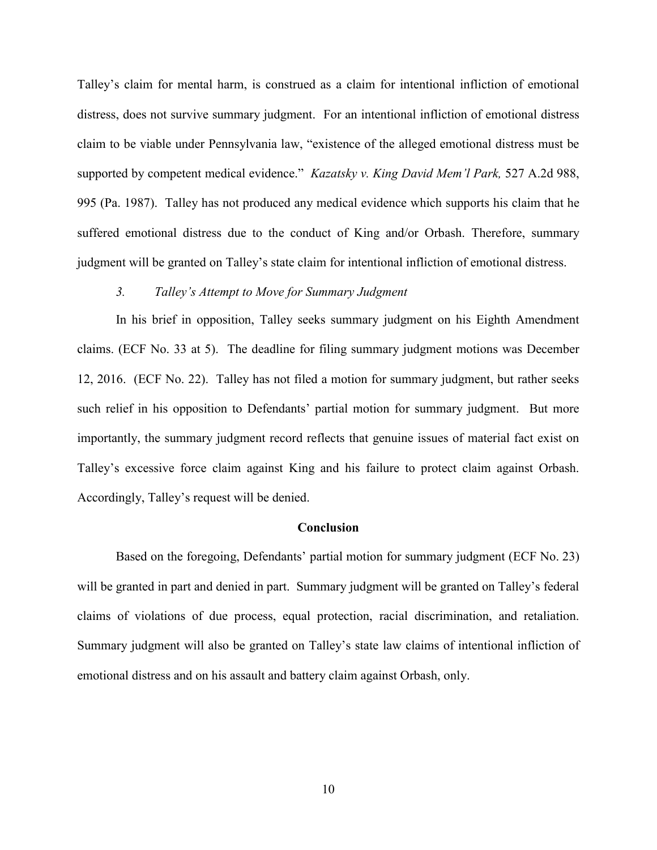Talley's claim for mental harm, is construed as a claim for intentional infliction of emotional distress, does not survive summary judgment. For an intentional infliction of emotional distress claim to be viable under Pennsylvania law, "existence of the alleged emotional distress must be supported by competent medical evidence." *Kazatsky v. King David Mem'l Park,* 527 A.2d 988, 995 (Pa. 1987). Talley has not produced any medical evidence which supports his claim that he suffered emotional distress due to the conduct of King and/or Orbash. Therefore, summary judgment will be granted on Talley's state claim for intentional infliction of emotional distress.

#### *3. Talley's Attempt to Move for Summary Judgment*

In his brief in opposition, Talley seeks summary judgment on his Eighth Amendment claims. (ECF No. 33 at 5). The deadline for filing summary judgment motions was December 12, 2016. (ECF No. 22). Talley has not filed a motion for summary judgment, but rather seeks such relief in his opposition to Defendants' partial motion for summary judgment. But more importantly, the summary judgment record reflects that genuine issues of material fact exist on Talley's excessive force claim against King and his failure to protect claim against Orbash. Accordingly, Talley's request will be denied.

#### **Conclusion**

Based on the foregoing, Defendants' partial motion for summary judgment (ECF No. 23) will be granted in part and denied in part. Summary judgment will be granted on Talley's federal claims of violations of due process, equal protection, racial discrimination, and retaliation. Summary judgment will also be granted on Talley's state law claims of intentional infliction of emotional distress and on his assault and battery claim against Orbash, only.